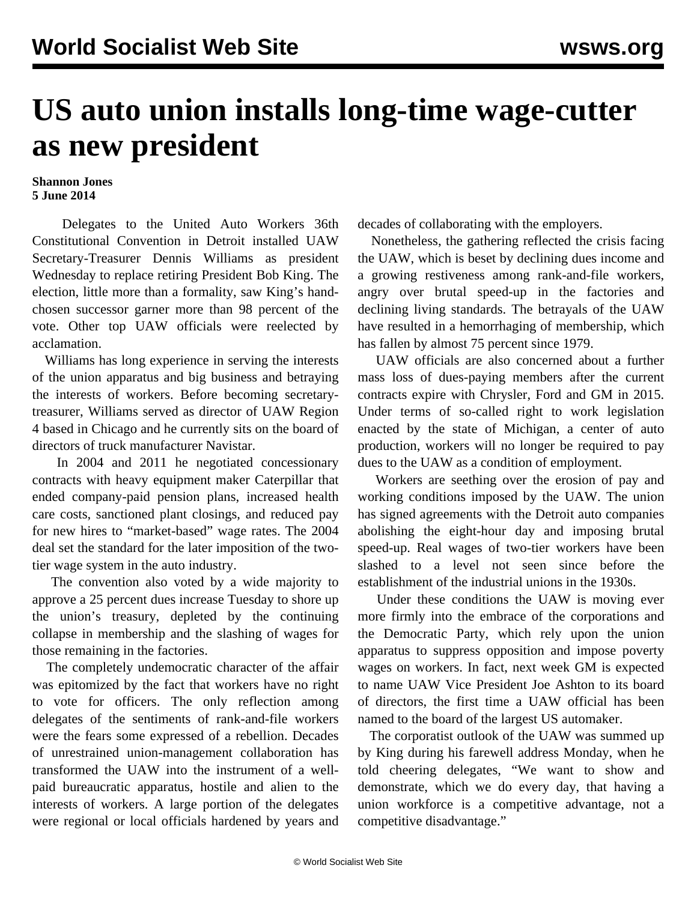## **US auto union installs long-time wage-cutter as new president**

## **Shannon Jones 5 June 2014**

 Delegates to the United Auto Workers 36th Constitutional Convention in Detroit installed UAW Secretary-Treasurer Dennis Williams as president Wednesday to replace retiring President Bob King. The election, little more than a formality, saw King's handchosen successor garner more than 98 percent of the vote. Other top UAW officials were reelected by acclamation.

 Williams has long experience in serving the interests of the union apparatus and big business and betraying the interests of workers. Before becoming secretarytreasurer, Williams served as director of UAW Region 4 based in Chicago and he currently sits on the board of directors of truck manufacturer Navistar.

 In 2004 and 2011 he negotiated concessionary contracts with heavy equipment maker Caterpillar that ended company-paid pension plans, increased health care costs, sanctioned plant closings, and reduced pay for new hires to "market-based" wage rates. The 2004 deal set the standard for the later imposition of the twotier wage system in the auto industry.

 The convention also voted by a wide majority to approve a 25 percent dues increase Tuesday to shore up the union's treasury, depleted by the continuing collapse in membership and the slashing of wages for those remaining in the factories.

 The completely undemocratic character of the affair was epitomized by the fact that workers have no right to vote for officers. The only reflection among delegates of the sentiments of rank-and-file workers were the fears some expressed of a rebellion. Decades of unrestrained union-management collaboration has transformed the UAW into the instrument of a wellpaid bureaucratic apparatus, hostile and alien to the interests of workers. A large portion of the delegates were regional or local officials hardened by years and

decades of collaborating with the employers.

 Nonetheless, the gathering reflected the crisis facing the UAW, which is beset by declining dues income and a growing restiveness among rank-and-file workers, angry over brutal speed-up in the factories and declining living standards. The betrayals of the UAW have resulted in a hemorrhaging of membership, which has fallen by almost 75 percent since 1979.

 UAW officials are also concerned about a further mass loss of dues-paying members after the current contracts expire with Chrysler, Ford and GM in 2015. Under terms of so-called right to work legislation enacted by the state of Michigan, a center of auto production, workers will no longer be required to pay dues to the UAW as a condition of employment.

 Workers are seething over the erosion of pay and working conditions imposed by the UAW. The union has signed agreements with the Detroit auto companies abolishing the eight-hour day and imposing brutal speed-up. Real wages of two-tier workers have been slashed to a level not seen since before the establishment of the industrial unions in the 1930s.

 Under these conditions the UAW is moving ever more firmly into the embrace of the corporations and the Democratic Party, which rely upon the union apparatus to suppress opposition and impose poverty wages on workers. In fact, next week GM is expected to name UAW Vice President Joe Ashton to its board of directors, the first time a UAW official has been named to the board of the largest US automaker.

 The corporatist outlook of the UAW was summed up by King during his farewell address Monday, when he told cheering delegates, "We want to show and demonstrate, which we do every day, that having a union workforce is a competitive advantage, not a competitive disadvantage."